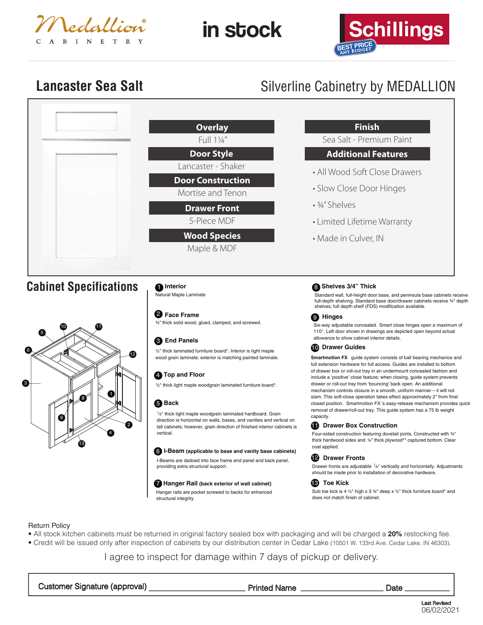

in stock



# **Lancaster Sea Salt** Silverline Cabinetry by MEDALLION

|                               | <b>Overlay</b>                                                             | Fini                                                                                                         |
|-------------------------------|----------------------------------------------------------------------------|--------------------------------------------------------------------------------------------------------------|
|                               | Full 11/4"                                                                 | Sea Salt - Pre                                                                                               |
|                               | <b>Door Style</b>                                                          | <b>Additiona</b>                                                                                             |
|                               | Lancaster - Shaker                                                         | • All Wood Soft                                                                                              |
|                               | <b>Door Construction</b><br>Mortise and Tenon                              | • Slow Close Do                                                                                              |
|                               | <b>Drawer Front</b>                                                        | • 3/4" Shelves                                                                                               |
|                               | 5-Piece MDF                                                                | • Limited Lifetir                                                                                            |
|                               | <b>Wood Species</b><br>Maple & MDF                                         | • Made in Culve                                                                                              |
| <b>Cabinet Specifications</b> | Interior<br>Natural Maple Laminate                                         | Shelves 3/4" Thi<br>Standard wall, full-height<br>full-depth shelving. Stand<br>shelves; full depth shelf (F |
|                               | <b>2</b> Face Frame<br>3/4" thick solid wood; glued, clamped, and screwed. | <b>Hinges</b><br>Six-way adjustable conces                                                                   |



# 3 **End Panels**

½" thick laminated furniture board\*. Interior is light maple wood grain laminate; exterior is matching painted laminate.

# **4** Top and Floor

½" thick light maple woodgrain laminated furniture board\*.

## 5 **Back**

1⁄8" thick light maple woodgrain laminated hardboard. Grain direction is horizontal on walls, bases, and vanities and vertical on tall cabinets; however, grain direction of finished interior cabinets is vertical.

#### 6 **I-Beam (applicable to base and vanity base cabinets)**

I-Beams are dadoed into face frame end panel and back panel, providing extra structural support.

#### 7 **Hanger Rail (back exterior of wall cabinet)**

Hanger rails are pocket screwed to backs for enhanced structural integrity.

# **Finish**

mium Paint

# **Features**

- **Close Drawers**
- oor Hinges
- ne Warranty
- $er, IN$

# 8 **Shelves 3/4" Thick**

door base, and peninsula base cabinets receive ard base door/drawer cabinets receive ¾" depth FDS) modification available.

aled. Smart close hinges open a maximum of 110°. Left door shown in drawings are depicted open beyond actual allowance to show cabinet interior details.

## **D** Drawer Guides

**Smartmotion FX** guide system consists of ball bearing mechanics and full extension hardware for full access. Guides are installed to bottom of drawer box or roll-out tray in an undermount concealed fashion and include a 'positive' close feature; when closing, guide system prevents drawer or roll-out tray from 'bouncing' back open. An additional mechanism controls closure in a smooth, uniform manner – it will not slam. This soft-close operation takes effect approximately 2" from final closed position. Smartmotion FX 's easy-release mechanism provides quick removal of drawer/roll-out tray. This guide system has a 75 lb weight capacity.

# **Drawer Box Construction**

Four-sided construction featuring dovetail joints. Constructed with ¾" thick hardwood sides and 1/4" thick plywood\*\* captured bottom. Clear coat applied.

#### **Drawer Fronts** 12

Drawer fronts are adjustable 1/8" vertically and horizontally. Adjustments should be made prior to installation of decorative hardware.

#### **Toe Kick** 13

Sub toe kick is 4  $\frac{1}{2}$ " high x 3  $\frac{3}{4}$ " deep x  $\frac{1}{2}$ " thick furniture board\* and does not match finish of cabinet.

## Return Policy

- All stock kitchen cabinets must be returned in original factory sealed box with packaging and will be charged a **20%** restocking fee.
- Credit will be issued only after inspection of cabinets by our distribution center in Cedar Lake (10501 W. 133rd Ave. Cedar Lake, IN 46303).

# I agree to inspect for damage within 7 days of pickup or delivery.

| Customer Signature (approval) | <b>Printed Name</b> | Date |
|-------------------------------|---------------------|------|
|-------------------------------|---------------------|------|